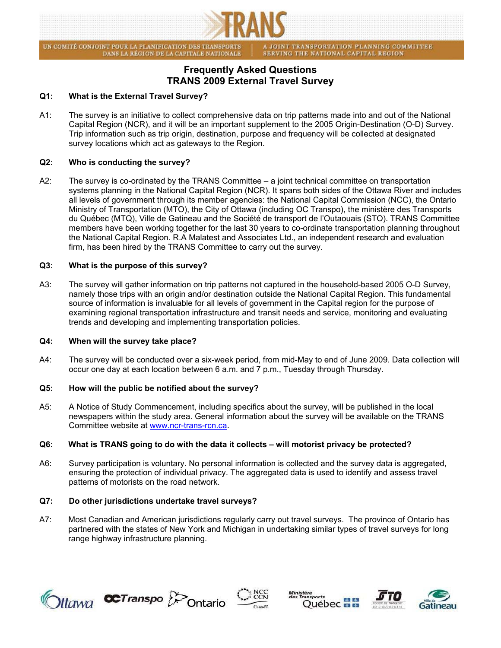

UN COMITÉ CONJOINT POUR LA PLANIFICATION DES TRANSPORTS DANS LA RÉGION DE LA CAPITALE NATIONALE A JOINT TRANSPORTATION PLANNING COMMITTEE<br>SERVING THE NATIONAL CAPITAL REGION

# **Frequently Asked Questions TRANS 2009 External Travel Survey**

# **Q1: What is the External Travel Survey?**

A1: The survey is an initiative to collect comprehensive data on trip patterns made into and out of the National Capital Region (NCR), and it will be an important supplement to the 2005 Origin-Destination (O-D) Survey. Trip information such as trip origin, destination, purpose and frequency will be collected at designated survey locations which act as gateways to the Region.

# **Q2: Who is conducting the survey?**

A2: The survey is co-ordinated by the TRANS Committee – a joint technical committee on transportation systems planning in the National Capital Region (NCR). It spans both sides of the Ottawa River and includes all levels of government through its member agencies: the National Capital Commission (NCC), the Ontario Ministry of Transportation (MTO), the City of Ottawa (including OC Transpo), the ministère des Transports du Québec (MTQ), Ville de Gatineau and the Société de transport de l'Outaouais (STO). TRANS Committee members have been working together for the last 30 years to co-ordinate transportation planning throughout the National Capital Region. R.A Malatest and Associates Ltd., an independent research and evaluation firm, has been hired by the TRANS Committee to carry out the survey.

## **Q3: What is the purpose of this survey?**

A3: The survey will gather information on trip patterns not captured in the household-based 2005 O-D Survey, namely those trips with an origin and/or destination outside the National Capital Region. This fundamental source of information is invaluable for all levels of government in the Capital region for the purpose of examining regional transportation infrastructure and transit needs and service, monitoring and evaluating trends and developing and implementing transportation policies.

## **Q4: When will the survey take place?**

A4: The survey will be conducted over a six-week period, from mid-May to end of June 2009. Data collection will occur one day at each location between 6 a.m. and 7 p.m., Tuesday through Thursday.

## **Q5: How will the public be notified about the survey?**

A5: A Notice of Study Commencement, including specifics about the survey, will be published in the local newspapers within the study area. General information about the survey will be available on the TRANS Committee website at [www.ncr-trans-rcn.ca.](http://www.ncr-trans-rcn.ca/)

## **Q6: What is TRANS going to do with the data it collects – will motorist privacy be protected?**

A6: Survey participation is voluntary. No personal information is collected and the survey data is aggregated, ensuring the protection of individual privacy. The aggregated data is used to identify and assess travel patterns of motorists on the road network.

## **Q7: Do other jurisdictions undertake travel surveys?**

A7: Most Canadian and American jurisdictions regularly carry out travel surveys. The province of Ontario has partnered with the states of New York and Michigan in undertaking similar types of travel surveys for long range highway infrastructure planning.











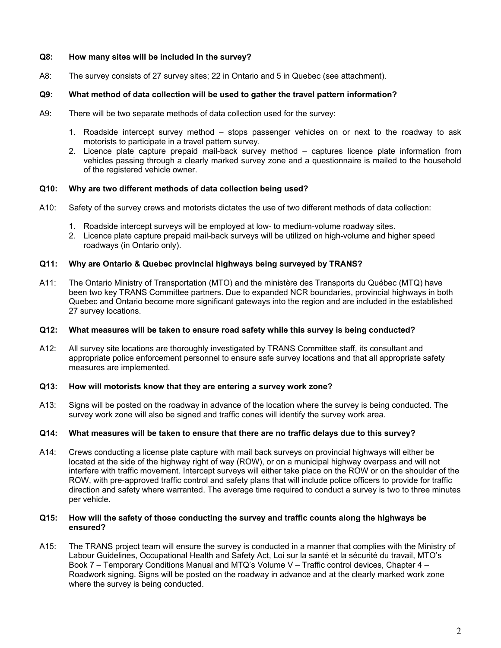## **Q8: How many sites will be included in the survey?**

A8: The survey consists of 27 survey sites; 22 in Ontario and 5 in Quebec (see attachment).

# **Q9: What method of data collection will be used to gather the travel pattern information?**

- A9: There will be two separate methods of data collection used for the survey:
	- 1. Roadside intercept survey method stops passenger vehicles on or next to the roadway to ask motorists to participate in a travel pattern survey.
	- 2. Licence plate capture prepaid mail-back survey method captures licence plate information from vehicles passing through a clearly marked survey zone and a questionnaire is mailed to the household of the registered vehicle owner.

## **Q10: Why are two different methods of data collection being used?**

- A10: Safety of the survey crews and motorists dictates the use of two different methods of data collection:
	- 1. Roadside intercept surveys will be employed at low- to medium-volume roadway sites.
	- 2. Licence plate capture prepaid mail-back surveys will be utilized on high-volume and higher speed roadways (in Ontario only).

## **Q11: Why are Ontario & Quebec provincial highways being surveyed by TRANS?**

A11: The Ontario Ministry of Transportation (MTO) and the ministère des Transports du Québec (MTQ) have been two key TRANS Committee partners. Due to expanded NCR boundaries, provincial highways in both Quebec and Ontario become more significant gateways into the region and are included in the established 27 survey locations.

## **Q12: What measures will be taken to ensure road safety while this survey is being conducted?**

A12: All survey site locations are thoroughly investigated by TRANS Committee staff, its consultant and appropriate police enforcement personnel to ensure safe survey locations and that all appropriate safety measures are implemented.

## **Q13: How will motorists know that they are entering a survey work zone?**

A13: Signs will be posted on the roadway in advance of the location where the survey is being conducted. The survey work zone will also be signed and traffic cones will identify the survey work area.

## **Q14: What measures will be taken to ensure that there are no traffic delays due to this survey?**

A14: Crews conducting a license plate capture with mail back surveys on provincial highways will either be located at the side of the highway right of way (ROW), or on a municipal highway overpass and will not interfere with traffic movement. Intercept surveys will either take place on the ROW or on the shoulder of the ROW, with pre-approved traffic control and safety plans that will include police officers to provide for traffic direction and safety where warranted. The average time required to conduct a survey is two to three minutes per vehicle.

#### **Q15: How will the safety of those conducting the survey and traffic counts along the highways be ensured?**

A15: The TRANS project team will ensure the survey is conducted in a manner that complies with the Ministry of Labour Guidelines, Occupational Health and Safety Act, Loi sur la santé et la sécurité du travail, MTO's Book 7 – Temporary Conditions Manual and MTQ's Volume V – Traffic control devices, Chapter 4 – Roadwork signing. Signs will be posted on the roadway in advance and at the clearly marked work zone where the survey is being conducted.